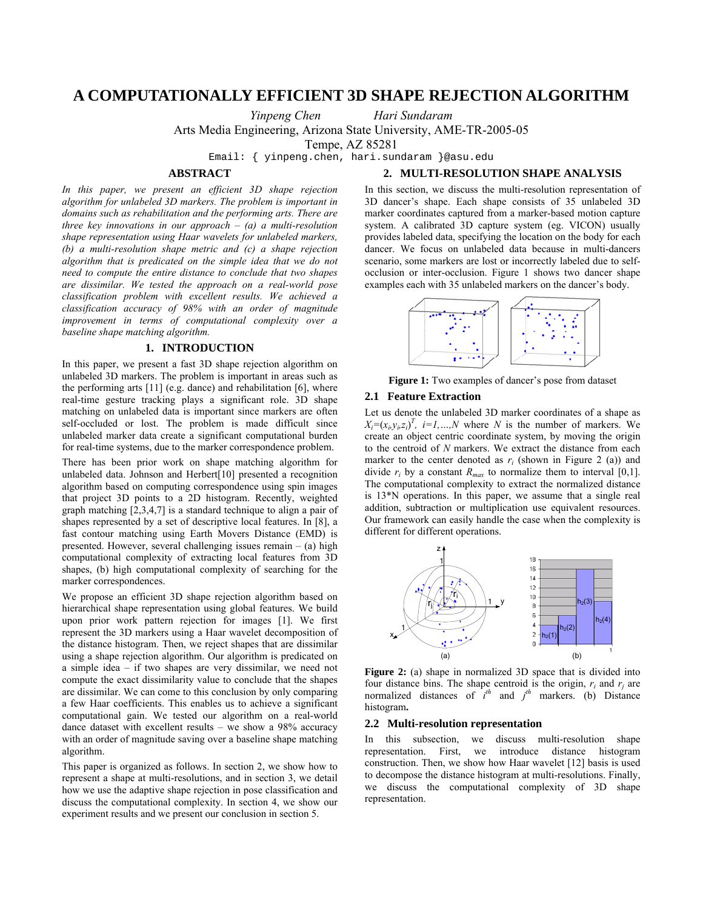# **A COMPUTATIONALLY EFFICIENT 3D SHAPE REJECTION ALGORITHM**

*Yinpeng Chen Hari Sundaram* 

Arts Media Engineering, Arizona State University, AME-TR-2005-05

Tempe, AZ 85281

Email: { yinpeng.chen, hari.sundaram }@asu.edu

## **ABSTRACT**

# **2. MULTI-RESOLUTION SHAPE ANALYSIS**

*In this paper, we present an efficient 3D shape rejection algorithm for unlabeled 3D markers. The problem is important in domains such as rehabilitation and the performing arts. There are three key innovations in our approach – (a) a multi-resolution shape representation using Haar wavelets for unlabeled markers, (b) a multi-resolution shape metric and (c) a shape rejection algorithm that is predicated on the simple idea that we do not need to compute the entire distance to conclude that two shapes are dissimilar. We tested the approach on a real-world pose classification problem with excellent results. We achieved a classification accuracy of 98% with an order of magnitude improvement in terms of computational complexity over a baseline shape matching algorithm.* 

# **1. INTRODUCTION**

In this paper, we present a fast 3D shape rejection algorithm on unlabeled 3D markers. The problem is important in areas such as the performing arts  $[11]$  (e.g. dance) and rehabilitation  $[6]$ , where real-time gesture tracking plays a significant role. 3D shape matching on unlabeled data is important since markers are often self-occluded or lost. The problem is made difficult since unlabeled marker data create a significant computational burden for real-time systems, due to the marker correspondence problem.

There has been prior work on shape matching algorithm for unlabeled data. Johnson and Herbert<sup>[10]</sup> presented a recognition algorithm based on computing correspondence using spin images that project 3D points to a 2D histogram. Recently, weighted graph matching [2,3,4,7] is a standard technique to align a pair of shapes represented by a set of descriptive local features. In [8], a fast contour matching using Earth Movers Distance (EMD) is presented. However, several challenging issues remain – (a) high computational complexity of extracting local features from 3D shapes, (b) high computational complexity of searching for the marker correspondences.

We propose an efficient 3D shape rejection algorithm based on hierarchical shape representation using global features. We build upon prior work pattern rejection for images [1]. We first represent the 3D markers using a Haar wavelet decomposition of the distance histogram. Then, we reject shapes that are dissimilar using a shape rejection algorithm. Our algorithm is predicated on a simple idea – if two shapes are very dissimilar, we need not compute the exact dissimilarity value to conclude that the shapes are dissimilar. We can come to this conclusion by only comparing a few Haar coefficients. This enables us to achieve a significant computational gain. We tested our algorithm on a real-world dance dataset with excellent results – we show a 98% accuracy with an order of magnitude saving over a baseline shape matching algorithm.

This paper is organized as follows. In section 2, we show how to represent a shape at multi-resolutions, and in section 3, we detail how we use the adaptive shape rejection in pose classification and discuss the computational complexity. In section 4, we show our experiment results and we present our conclusion in section 5.

In this section, we discuss the multi-resolution representation of 3D dancer's shape. Each shape consists of 35 unlabeled 3D marker coordinates captured from a marker-based motion capture system. A calibrated 3D capture system (eg. VICON) usually provides labeled data, specifying the location on the body for each dancer. We focus on unlabeled data because in multi-dancers scenario, some markers are lost or incorrectly labeled due to selfocclusion or inter-occlusion. Figure 1 shows two dancer shape examples each with 35 unlabeled markers on the dancer's body.



**Figure 1:** Two examples of dancer's pose from dataset

## **2.1 Feature Extraction**

Let us denote the unlabeled 3D marker coordinates of a shape as  $X_i = (x_i, y_i, z_i)^T$ ,  $i = 1, ..., N$  where *N* is the number of markers. We create an object centric coordinate system, by moving the origin to the centroid of *N* markers. We extract the distance from each marker to the center denoted as  $r_i$  (shown in Figure 2 (a)) and divide  $r_i$  by a constant  $R_{max}$  to normalize them to interval [0,1]. The computational complexity to extract the normalized distance is 13\*N operations. In this paper, we assume that a single real addition, subtraction or multiplication use equivalent resources. Our framework can easily handle the case when the complexity is different for different operations.



**Figure 2:** (a) shape in normalized 3D space that is divided into four distance bins. The shape centroid is the origin,  $r_i$  and  $r_j$  are normalized distances of  $i^{th}$  and  $j^{th}$  markers. (b) Distance histogram**.** 

#### **2.2 Multi-resolution representation**

In this subsection, we discuss multi-resolution shape representation. First, we introduce distance histogram construction. Then, we show how Haar wavelet [12] basis is used to decompose the distance histogram at multi-resolutions. Finally, we discuss the computational complexity of 3D shape representation.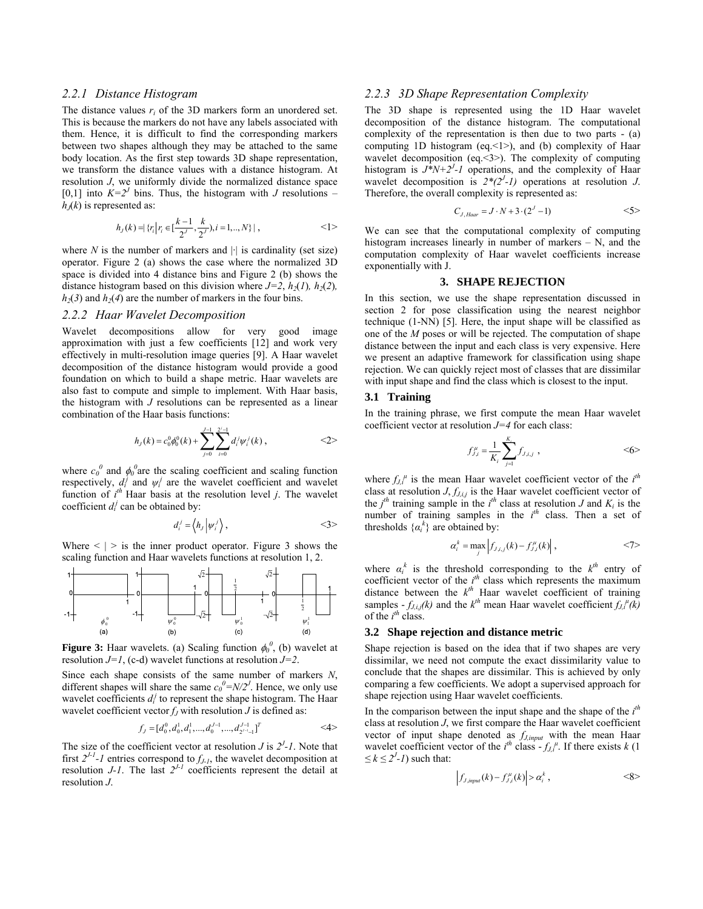# *2.2.1 Distance Histogram*

The distance values *ri* of the 3D markers form an unordered set. This is because the markers do not have any labels associated with them. Hence, it is difficult to find the corresponding markers between two shapes although they may be attached to the same body location. As the first step towards 3D shape representation, we transform the distance values with a distance histogram. At resolution *J*, we uniformly divide the normalized distance space [0,1] into  $K=2^J$  bins. Thus, the histogram with *J* resolutions –  $h<sub>J</sub>(k)$  is represented as:

$$
h_J(k) = \{r_i \mid r_i \in [\frac{k-1}{2'} , \frac{k}{2'}), i = 1, ..., N\} \mid , \quad \langle \rangle
$$

where  $N$  is the number of markers and  $|\cdot|$  is cardinality (set size) operator. Figure 2 (a) shows the case where the normalized 3D space is divided into 4 distance bins and Figure 2 (b) shows the distance histogram based on this division where  $J=2$ ,  $h_2(I)$ ,  $h_2(2)$ ,  $h_2(3)$  and  $h_2(4)$  are the number of markers in the four bins.

## *2.2.2 Haar Wavelet Decomposition*

Wavelet decompositions allow for very good image approximation with just a few coefficients [12] and work very effectively in multi-resolution image queries [9]. A Haar wavelet decomposition of the distance histogram would provide a good foundation on which to build a shape metric. Haar wavelets are also fast to compute and simple to implement. With Haar basis, the histogram with *J* resolutions can be represented as a linear combination of the Haar basis functions:

$$
h_J(k) = c_0^0 \phi_0^0(k) + \sum_{j=0}^{J-1} \sum_{i=0}^{2^j-1} d_i^j \psi_i^j(k) , \qquad \qquad <2>
$$

where  $c_0^0$  and  $\phi_0^0$  are the scaling coefficient and scaling function respectively,  $d_i^j$  and  $\psi_i^j$  are the wavelet coefficient and wavelet function of  $i^{th}$  Haar basis at the resolution level *j*. The wavelet coefficient  $d_i^j$  can be obtained by:

$$
d_i^j = \left\langle h_j \left| \psi_i^j \right\rangle, \qquad \qquad \leq 3 \geq 1
$$

Where  $\leq$  |  $>$  is the inner product operator. Figure 3 shows the scaling function and Haar wavelets functions at resolution 1, 2.



**Figure 3:** Haar wavelets. (a) Scaling function  $\phi_0^0$ , (b) wavelet at resolution *J=1*, (c-d) wavelet functions at resolution *J=2*.

Since each shape consists of the same number of markers *N*, different shapes will share the same  $c_0^0 = N/2^J$ . Hence, we only use wavelet coefficients  $d_i^j$  to represent the shape histogram. The Haar wavelet coefficient vector  $f_J$  with resolution  $J$  is defined as:

$$
f_J = [d_0^0, d_0^1, d_1^1, \dots, d_0^{J-1}, \dots, d_{2^{J-1}-1}^{J-1}]^T
$$
  $\langle 4 \rangle$ 

The size of the coefficient vector at resolution *J* is  $2<sup>J</sup>$ -1. Note that first  $2^{J-1}$ -1 entries correspond to  $f_{J-1}$ , the wavelet decomposition at resolution *J-1*. The last  $2^{J-1}$  coefficients represent the detail at resolution *J*.

# *2.2.3 3D Shape Representation Complexity*

The 3D shape is represented using the 1D Haar wavelet decomposition of the distance histogram. The computational complexity of the representation is then due to two parts - (a) computing 1D histogram (eq.<1>), and (b) complexity of Haar wavelet decomposition (eq.<3>). The complexity of computing histogram is  $J^*N+2^J$ -1 operations, and the complexity of Haar wavelet decomposition is  $2*(2<sup>J</sup>-1)$  operations at resolution *J*. Therefore, the overall complexity is represented as:

$$
C_{J,Haar} = J \cdot N + 3 \cdot (2^J - 1) \qquad \qquad \leq 5 >
$$

We can see that the computational complexity of computing histogram increases linearly in number of markers – N, and the computation complexity of Haar wavelet coefficients increase exponentially with J.

# **3. SHAPE REJECTION**

In this section, we use the shape representation discussed in section 2 for pose classification using the nearest neighbor technique (1-NN) [5]. Here, the input shape will be classified as one of the *M* poses or will be rejected. The computation of shape distance between the input and each class is very expensive. Here we present an adaptive framework for classification using shape rejection. We can quickly reject most of classes that are dissimilar with input shape and find the class which is closest to the input.

# **3.1 Training**

In the training phrase, we first compute the mean Haar wavelet coefficient vector at resolution *J=4* for each class:

$$
f_{j,j}^{\mu} = \frac{1}{K_i} \sum_{j=1}^{K_i} f_{j,i,j} , \qquad \qquad \leq 6 >
$$

where  $f_{J,i}$ <sup> $\mu$ </sup> is the mean Haar wavelet coefficient vector of the  $i^{th}$ class at resolution *J*, *fJ,i,j* is the Haar wavelet coefficient vector of the  $j<sup>th</sup>$  training sample in the  $i<sup>th</sup>$  class at resolution *J* and  $K<sub>i</sub>$  is the number of training samples in the  $i^{th}$  class. Then a set of thresholds  $\{\alpha_i^k\}$  are obtained by:

$$
\alpha_i^k = \max_j \left| f_{J,i,j}(k) - f_{J,i}^\mu(k) \right|, \qquad \qquad \leq 7>
$$

where  $\alpha_i^k$  is the threshold corresponding to the  $k^{th}$  entry of coefficient vector of the  $i<sup>th</sup>$  class which represents the maximum distance between the  $k^{th}$  Haar wavelet coefficient of training samples  $-f_{J,i,j}(k)$  and the  $k^{th}$  mean Haar wavelet coefficient  $f_{J,i}^{\mu}(k)$ of the  $i^{th}$  class.

#### **3.2 Shape rejection and distance metric**

Shape rejection is based on the idea that if two shapes are very dissimilar, we need not compute the exact dissimilarity value to conclude that the shapes are dissimilar. This is achieved by only comparing a few coefficients. We adopt a supervised approach for shape rejection using Haar wavelet coefficients.

In the comparison between the input shape and the shape of the  $i<sup>th</sup>$ class at resolution *J*, we first compare the Haar wavelet coefficient vector of input shape denoted as *fJ,input* with the mean Haar wavelet coefficient vector of the  $i^{th}$  class  $-f_{J,i}^{\mu}$ . If there exists *k* (1)  $\leq k \leq 2^{J} - 1$  such that:

$$
\left|f_{J,input}(k) - f_{J,i}^{\mu}(k)\right| > \alpha_i^k \,,\tag{8}
$$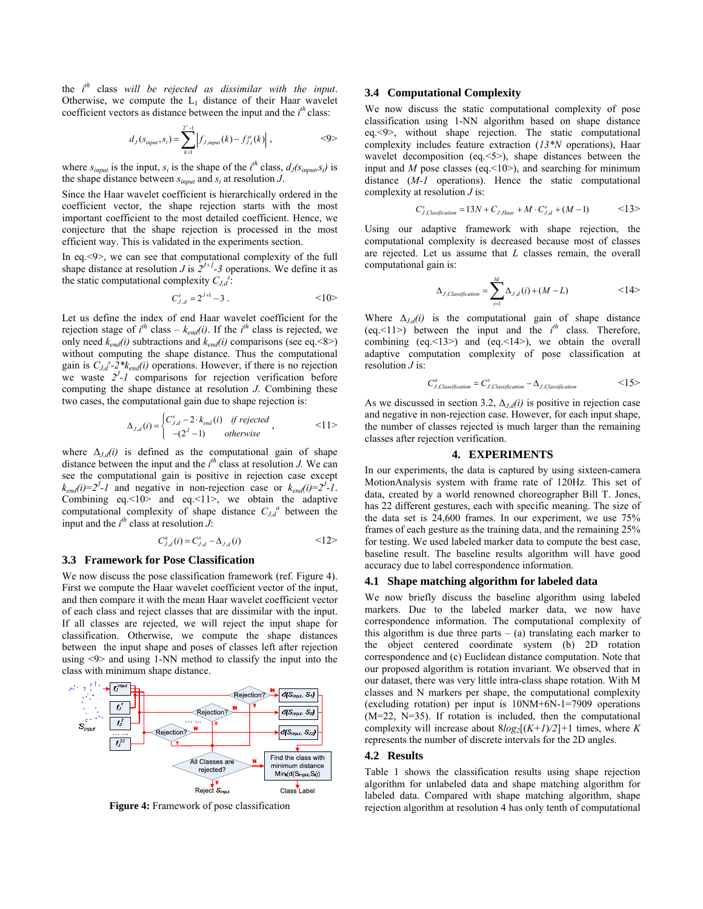the *i th* class *will be rejected as dissimilar with the input*. Otherwise, we compute the  $L_1$  distance of their Haar wavelet coefficient vectors as distance between the input and the  $i<sup>th</sup>$  class:

$$
d_J(s_{input}, s_i) = \sum_{k=1}^{2^J-1} \left| f_{J,input}(k) - f_{J,i}^{\mu}(k) \right|, \qquad \qquad \leq 9 >
$$

where  $s_{input}$  is the input,  $s_i$  is the shape of the *i*<sup>th</sup> class,  $d_J(s_{input}, s_i)$  is the shape distance between *sinput* and *si* at resolution *J*.

Since the Haar wavelet coefficient is hierarchically ordered in the coefficient vector, the shape rejection starts with the most important coefficient to the most detailed coefficient. Hence, we conjecture that the shape rejection is processed in the most efficient way. This is validated in the experiments section.

In eq.<9>, we can see that computational complexity of the full shape distance at resolution *J* is  $2^{J+1}-3$  operations. We define it as the static computational complexity  $C_{J,d}$ <sup>s</sup>:

$$
C_{J,d}^s = 2^{J+1} - 3 \ . \tag{10}
$$

Let us define the index of end Haar wavelet coefficient for the rejection stage of  $i^{th}$  class –  $k_{end}(i)$ . If the  $i^{th}$  class is rejected, we only need  $k_{end}(i)$  subtractions and  $k_{end}(i)$  comparisons (see eq. <8>) without computing the shape distance. Thus the computational gain is  $C_{J,d}^s$ -2\* $k_{end}(i)$  operations. However, if there is no rejection we waste  $2<sup>J</sup>$ -1 comparisons for rejection verification before computing the shape distance at resolution *J*. Combining these two cases, the computational gain due to shape rejection is:

$$
\Delta_{J,d}(i) = \begin{cases}\nC_{J,d}^s - 2 \cdot k_{end}(i) & \text{if rejected} \\
-(2^J - 1) & \text{otherwise}\n\end{cases}
$$
\n
$$
\langle 1 | >
$$

where  $\Delta_{J,d}(i)$  is defined as the computational gain of shape distance between the input and the  $i^{th}$  class at resolution *J*. We can see the computational gain is positive in rejection case except  $k_{end}(i) = 2^{J} - I$  and negative in non-rejection case or  $k_{end}(i) = 2^{J} - I$ . Combining  $eq.10$  and  $eq.11$ , we obtain the adaptive computational complexity of shape distance  $C_{J,d}$ <sup>*a*</sup> between the input and the  $i^{th}$  class at resolution  $\hat{J}$ :

$$
C_{J,d}^a(i) = C_{J,d}^s - \Delta_{J,d}(i) \qquad \qquad \leq 12>
$$

#### **3.3 Framework for Pose Classification**

We now discuss the pose classification framework (ref. Figure 4). First we compute the Haar wavelet coefficient vector of the input, and then compare it with the mean Haar wavelet coefficient vector of each class and reject classes that are dissimilar with the input. If all classes are rejected, we will reject the input shape for classification. Otherwise, we compute the shape distances between the input shape and poses of classes left after rejection using <9> and using 1-NN method to classify the input into the class with minimum shape distance.



**Figure 4:** Framework of pose classification

### **3.4 Computational Complexity**

We now discuss the static computational complexity of pose classification using 1-NN algorithm based on shape distance eq.<9>, without shape rejection. The static computational complexity includes feature extraction (*13\*N* operations), Haar wavelet decomposition (eq.<5>), shape distances between the input and *M* pose classes (eq.<10>), and searching for minimum distance (*M-1* operations). Hence the static computational complexity at resolution *J* is:

$$
C_{J, Classification}^s = 13N + C_{J, Haar} + M \cdot C_{J, d}^s + (M - 1) \qquad \qquad \langle 13 \rangle
$$

Using our adaptive framework with shape rejection, the computational complexity is decreased because most of classes are rejected. Let us assume that *L* classes remain, the overall computational gain is:

$$
\Delta_{J,Classification} = \sum_{i=1}^{M} \Delta_{J,d}(i) + (M - L) \qquad \qquad <14>
$$

Where  $\Delta_{J,d}(i)$  is the computational gain of shape distance (eq.  $\leq$ 11>) between the input and the  $i^{th}$  class. Therefore, combining (eq.<13>) and (eq.<14>), we obtain the overall adaptive computation complexity of pose classification at resolution *J* is:

$$
C_{J,Classification}^a = C_{J,Classification}^s - \Delta_{J,Classification} \qquad \qquad <15>
$$

As we discussed in section 3.2,  $\Delta_{J,d}(i)$  is positive in rejection case and negative in non-rejection case. However, for each input shape, the number of classes rejected is much larger than the remaining classes after rejection verification.

#### **4. EXPERIMENTS**

In our experiments, the data is captured by using sixteen-camera MotionAnalysis system with frame rate of 120Hz. This set of data, created by a world renowned choreographer Bill T. Jones, has 22 different gestures, each with specific meaning. The size of the data set is 24,600 frames. In our experiment, we use 75% frames of each gesture as the training data, and the remaining 25% for testing. We used labeled marker data to compute the best case, baseline result. The baseline results algorithm will have good accuracy due to label correspondence information.

### **4.1 Shape matching algorithm for labeled data**

We now briefly discuss the baseline algorithm using labeled markers. Due to the labeled marker data, we now have correspondence information. The computational complexity of this algorithm is due three parts  $-$  (a) translating each marker to the object centered coordinate system (b) 2D rotation correspondence and (c) Euclidean distance computation. Note that our proposed algorithm is rotation invariant. We observed that in our dataset, there was very little intra-class shape rotation. With M classes and N markers per shape, the computational complexity (excluding rotation) per input is 10NM+6N-1=7909 operations (M=22, N=35). If rotation is included, then the computational complexity will increase about  $8log_2[(K+1)/2]+1$  times, where *K* represents the number of discrete intervals for the 2D angles.

# **4.2 Results**

Table 1 shows the classification results using shape rejection algorithm for unlabeled data and shape matching algorithm for labeled data. Compared with shape matching algorithm, shape rejection algorithm at resolution 4 has only tenth of computational